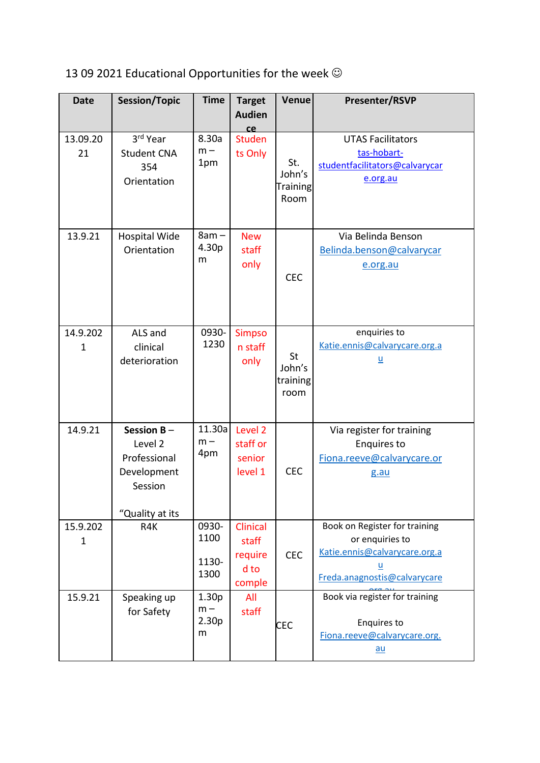## 13 09 2021 Educational Opportunities for the week  $\odot$

| <b>Date</b>              | <b>Session/Topic</b>                                                                  | <b>Time</b>                                          | <b>Target</b><br><b>Audien</b>                      | Venue                                    | Presenter/RSVP                                                                                                                |
|--------------------------|---------------------------------------------------------------------------------------|------------------------------------------------------|-----------------------------------------------------|------------------------------------------|-------------------------------------------------------------------------------------------------------------------------------|
| 13.09.20<br>21           | 3rd Year<br><b>Student CNA</b><br>354<br>Orientation                                  | 8.30a<br>$m -$<br>1pm                                | ce<br><b>Studen</b><br>ts Only                      | St.<br>John's<br><b>Training</b><br>Room | <b>UTAS Facilitators</b><br>tas-hobart-<br>studentfacilitators@calvarycar<br>e.org.au                                         |
| 13.9.21                  | <b>Hospital Wide</b><br>Orientation                                                   | $8am -$<br>4.30p<br>m                                | <b>New</b><br>staff<br>only                         | <b>CEC</b>                               | Via Belinda Benson<br>Belinda.benson@calvarycar<br>e.org.au                                                                   |
| 14.9.202<br>$\mathbf{1}$ | ALS and<br>clinical<br>deterioration                                                  | 0930-<br>1230                                        | <b>Simpso</b><br>n staff<br>only                    | <b>St</b><br>John's<br>training<br>room  | enquiries to<br>Katie.ennis@calvarycare.org.a<br>$\underline{\mathsf{u}}$                                                     |
| 14.9.21                  | Session $B -$<br>Level 2<br>Professional<br>Development<br>Session<br>"Quality at its | 11.30a<br>$m -$<br>4pm                               | Level <sub>2</sub><br>staff or<br>senior<br>level 1 | <b>CEC</b>                               | Via register for training<br><b>Enquires to</b><br>Fiona.reeve@calvarycare.or<br>g.au                                         |
| 15.9.202<br>1            | R4K                                                                                   | 0930-<br>1100<br>1130-<br>1300                       | Clinical<br>staff<br>require<br>d to<br>comple      | <b>CEC</b>                               | Book on Register for training<br>or enquiries to<br>Katie.ennis@calvarycare.org.a<br><u>u</u><br>Freda.anagnostis@calvarycare |
| 15.9.21                  | Speaking up<br>for Safety                                                             | 1.30 <sub>p</sub><br>$m -$<br>2.30 <sub>p</sub><br>m | All<br>staff                                        | <b>CEC</b>                               | Book via register for training<br><b>Enquires to</b><br>Fiona.reeve@calvarycare.org.<br>$au$                                  |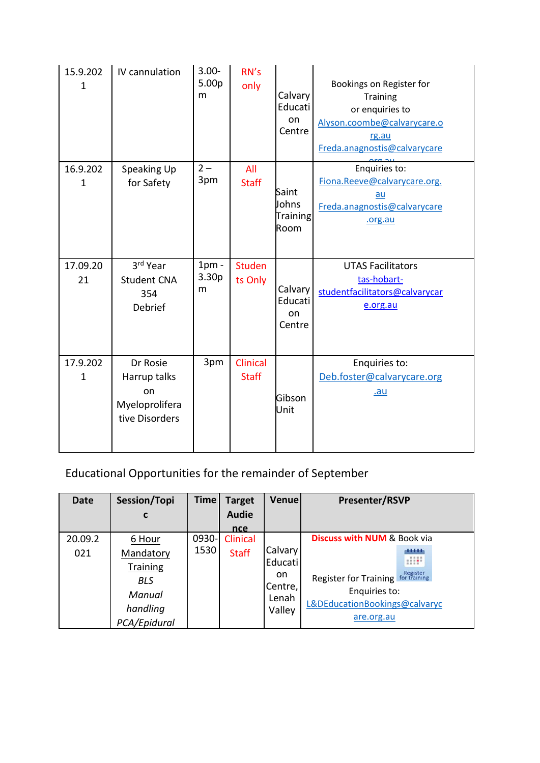| 15.9.202<br>$\mathbf 1$  | IV cannulation                                                     | $3.00 -$<br>5.00p<br>m            | RN's<br>only             | Calvary<br>Educati<br>on<br>Centre | Bookings on Register for<br>Training<br>or enquiries to<br>Alyson.coombe@calvarycare.o<br>rg.au<br>Freda.anagnostis@calvarycare |
|--------------------------|--------------------------------------------------------------------|-----------------------------------|--------------------------|------------------------------------|---------------------------------------------------------------------------------------------------------------------------------|
| 16.9.202<br>$\mathbf{1}$ | Speaking Up<br>for Safety                                          | $2 -$<br>3pm                      | All<br><b>Staff</b>      | Saint<br>Johns<br>Training<br>Room | Enquiries to:<br>Fiona.Reeve@calvarycare.org.<br>au<br>Freda.anagnostis@calvarycare<br>.org.au                                  |
| 17.09.20<br>21           | 3rd Year<br><b>Student CNA</b><br>354<br>Debrief                   | $1pm$ -<br>3.30 <sub>p</sub><br>m | <b>Studen</b><br>ts Only | Calvary<br>Educati<br>on<br>Centre | <b>UTAS Facilitators</b><br>tas-hobart-<br>studentfacilitators@calvarycar<br>e.org.au                                           |
| 17.9.202<br>$\mathbf{1}$ | Dr Rosie<br>Harrup talks<br>on<br>Myeloprolifera<br>tive Disorders | 3pm                               | Clinical<br><b>Staff</b> | Gibson<br>Unit                     | Enquiries to:<br>Deb.foster@calvarycare.org<br><u>.au</u>                                                                       |

## Educational Opportunities for the remainder of September

| <b>Date</b> | Session/Topi    | <b>Time</b> | <b>Target</b>  | Venue   | <b>Presenter/RSVP</b>                             |
|-------------|-----------------|-------------|----------------|---------|---------------------------------------------------|
|             | C               |             | <b>Audie</b>   |         |                                                   |
|             |                 |             | <sub>nce</sub> |         |                                                   |
| 20.09.2     | 6 Hour          | 0930-       | Clinical       |         | <b>Discuss with NUM &amp; Book via</b>            |
| 021         | Mandatory       | 1530        | <b>Staff</b>   | Calvary | <br>算算算                                           |
|             | <b>Training</b> |             |                | Educati | $-0.000$<br>                                      |
|             | <b>BLS</b>      |             |                | on.     | Register<br>Register for Training<br>for training |
|             | Manual          |             |                | Centre, | Enquiries to:                                     |
|             |                 |             |                | Lenah   | L&DEducationBookings@calvaryc                     |
|             | handling        |             |                | Valley  |                                                   |
|             | PCA/Epidural    |             |                |         | are.org.au                                        |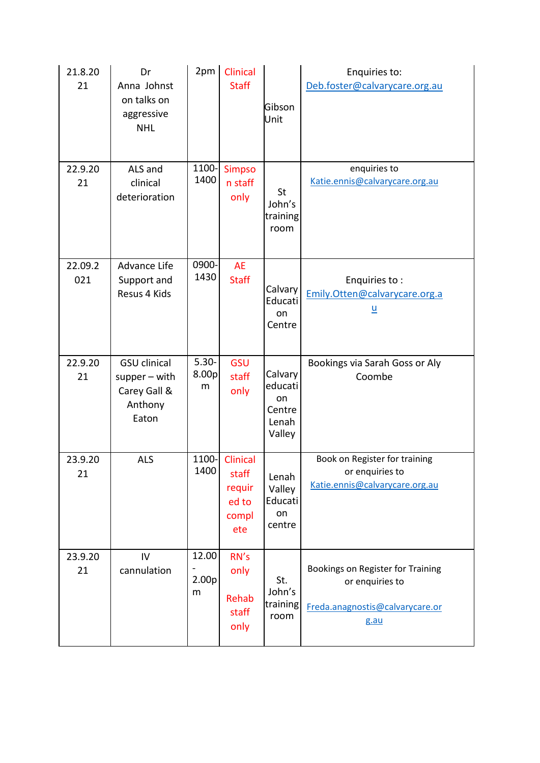| 21.8.20<br>21  | Dr<br>Anna Johnst<br>on talks on<br>aggressive<br><b>NHL</b>               | 2pm                             | Clinical<br><b>Staff</b>                             | Gibson<br>Unit                                        | Enquiries to:<br>Deb.foster@calvarycare.org.au                                                  |
|----------------|----------------------------------------------------------------------------|---------------------------------|------------------------------------------------------|-------------------------------------------------------|-------------------------------------------------------------------------------------------------|
| 22.9.20<br>21  | ALS and<br>clinical<br>deterioration                                       | 1100-<br>1400                   | <b>Simpso</b><br>n staff<br>only                     | St<br>John's<br>training<br>room                      | enquiries to<br>Katie.ennis@calvarycare.org.au                                                  |
| 22.09.2<br>021 | <b>Advance Life</b><br>Support and<br>Resus 4 Kids                         | 0900-<br>1430                   | <b>AE</b><br><b>Staff</b>                            | Calvary<br>Educati<br>on<br>Centre                    | Enquiries to:<br>Emily.Otten@calvarycare.org.a<br><u>u</u>                                      |
| 22.9.20<br>21  | <b>GSU</b> clinical<br>$supper - with$<br>Carey Gall &<br>Anthony<br>Eaton | $5.30 -$<br>8.00p<br>m          | GSU<br>staff<br>only                                 | Calvary<br>educati<br>on<br>Centre<br>Lenah<br>Valley | Bookings via Sarah Goss or Aly<br>Coombe                                                        |
| 23.9.20<br>21  | <b>ALS</b>                                                                 | 1100-<br>1400                   | Clinical<br>staff<br>requir<br>ed to<br>compl<br>ete | Lenah<br>Valley<br>Educati<br>on<br>centre            | Book on Register for training<br>or enquiries to<br>Katie.ennis@calvarycare.org.au              |
| 23.9.20<br>21  | IV<br>cannulation                                                          | 12.00<br>2.00 <sub>p</sub><br>m | RN's<br>only<br>Rehab<br>staff<br>only               | St.<br>John's<br>training<br>room                     | Bookings on Register for Training<br>or enquiries to<br>Freda.anagnostis@calvarycare.or<br>g.au |